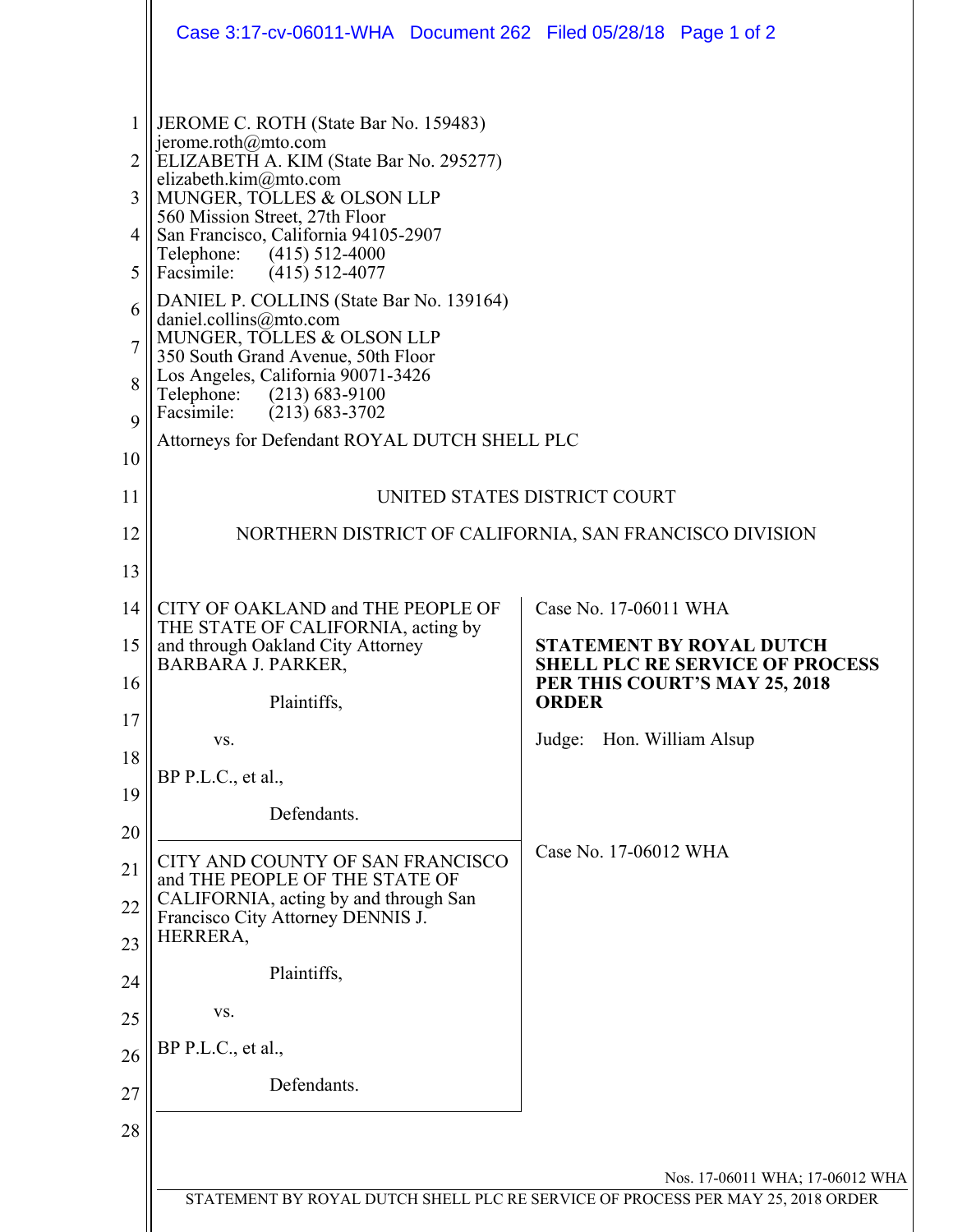|                       | Case 3:17-cv-06011-WHA  Document 262  Filed 05/28/18  Page 1 of 2                                                                                                                                                                                                                                                                                                                                                                                                                                                                                                                                           |                                                                                         |  |  |
|-----------------------|-------------------------------------------------------------------------------------------------------------------------------------------------------------------------------------------------------------------------------------------------------------------------------------------------------------------------------------------------------------------------------------------------------------------------------------------------------------------------------------------------------------------------------------------------------------------------------------------------------------|-----------------------------------------------------------------------------------------|--|--|
| 3<br>5<br>6<br>8<br>9 | JEROME C. ROTH (State Bar No. 159483)<br>jerome.roth@mto.com<br>ELIZABETH A. KIM (State Bar No. 295277)<br>elizabeth.kim $@$ mto.com<br>MUNGER, TOLLES & OLSON LLP<br>560 Mission Street, 27th Floor<br>San Francisco, California 94105-2907<br>Telephone: (415) 512-4000<br>Facsimile:<br>$(415)$ 512-4077<br>DANIEL P. COLLINS (State Bar No. 139164)<br>daniel.collins@mto.com<br>MUNGER, TOLLES & OLSON LLP<br>350 South Grand Avenue, 50th Floor<br>Los Angeles, California 90071-3426<br>Telephone: (213) 683-9100<br>Facsimile:<br>$(213)$ 683-3702<br>Attorneys for Defendant ROYAL DUTCH SHELL PLC |                                                                                         |  |  |
| 10<br>11              | UNITED STATES DISTRICT COURT                                                                                                                                                                                                                                                                                                                                                                                                                                                                                                                                                                                |                                                                                         |  |  |
| 12                    | NORTHERN DISTRICT OF CALIFORNIA, SAN FRANCISCO DIVISION                                                                                                                                                                                                                                                                                                                                                                                                                                                                                                                                                     |                                                                                         |  |  |
| 13                    |                                                                                                                                                                                                                                                                                                                                                                                                                                                                                                                                                                                                             |                                                                                         |  |  |
| 14                    | CITY OF OAKLAND and THE PEOPLE OF                                                                                                                                                                                                                                                                                                                                                                                                                                                                                                                                                                           | Case No. 17-06011 WHA                                                                   |  |  |
| 15                    | THE STATE OF CALIFORNIA, acting by<br>and through Oakland City Attorney                                                                                                                                                                                                                                                                                                                                                                                                                                                                                                                                     | <b>STATEMENT BY ROYAL DUTCH</b>                                                         |  |  |
| 16                    | <b>BARBARA J. PARKER,</b><br>Plaintiffs,                                                                                                                                                                                                                                                                                                                                                                                                                                                                                                                                                                    | <b>SHELL PLC RE SERVICE OF PROCESS</b><br>PER THIS COURT'S MAY 25, 2018<br><b>ORDER</b> |  |  |
| 17                    | VS.                                                                                                                                                                                                                                                                                                                                                                                                                                                                                                                                                                                                         | Judge: Hon. William Alsup                                                               |  |  |
| 18                    | BP P.L.C., et al.,                                                                                                                                                                                                                                                                                                                                                                                                                                                                                                                                                                                          |                                                                                         |  |  |
| 19                    | Defendants.                                                                                                                                                                                                                                                                                                                                                                                                                                                                                                                                                                                                 |                                                                                         |  |  |
| 20                    |                                                                                                                                                                                                                                                                                                                                                                                                                                                                                                                                                                                                             | Case No. 17-06012 WHA                                                                   |  |  |
| 21                    | CITY AND COUNTY OF SAN FRANCISCO<br>and THE PEOPLE OF THE STATE OF<br>CALIFORNIA, acting by and through San                                                                                                                                                                                                                                                                                                                                                                                                                                                                                                 |                                                                                         |  |  |
| 22                    | Francisco City Attorney DENNIS J.<br>HERRERA,                                                                                                                                                                                                                                                                                                                                                                                                                                                                                                                                                               |                                                                                         |  |  |
| 23                    | Plaintiffs,                                                                                                                                                                                                                                                                                                                                                                                                                                                                                                                                                                                                 |                                                                                         |  |  |
| 24<br>25              | VS.                                                                                                                                                                                                                                                                                                                                                                                                                                                                                                                                                                                                         |                                                                                         |  |  |
| 26                    | BP P.L.C., et al.,                                                                                                                                                                                                                                                                                                                                                                                                                                                                                                                                                                                          |                                                                                         |  |  |
| 27                    | Defendants.                                                                                                                                                                                                                                                                                                                                                                                                                                                                                                                                                                                                 |                                                                                         |  |  |
| 28                    |                                                                                                                                                                                                                                                                                                                                                                                                                                                                                                                                                                                                             |                                                                                         |  |  |
|                       |                                                                                                                                                                                                                                                                                                                                                                                                                                                                                                                                                                                                             |                                                                                         |  |  |
|                       | Nos. 17-06011 WHA; 17-06012 WHA<br>STATEMENT BY ROYAL DUTCH SHELL PLC RE SERVICE OF PROCESS PER MAY 25, 2018 ORDER                                                                                                                                                                                                                                                                                                                                                                                                                                                                                          |                                                                                         |  |  |
|                       |                                                                                                                                                                                                                                                                                                                                                                                                                                                                                                                                                                                                             |                                                                                         |  |  |